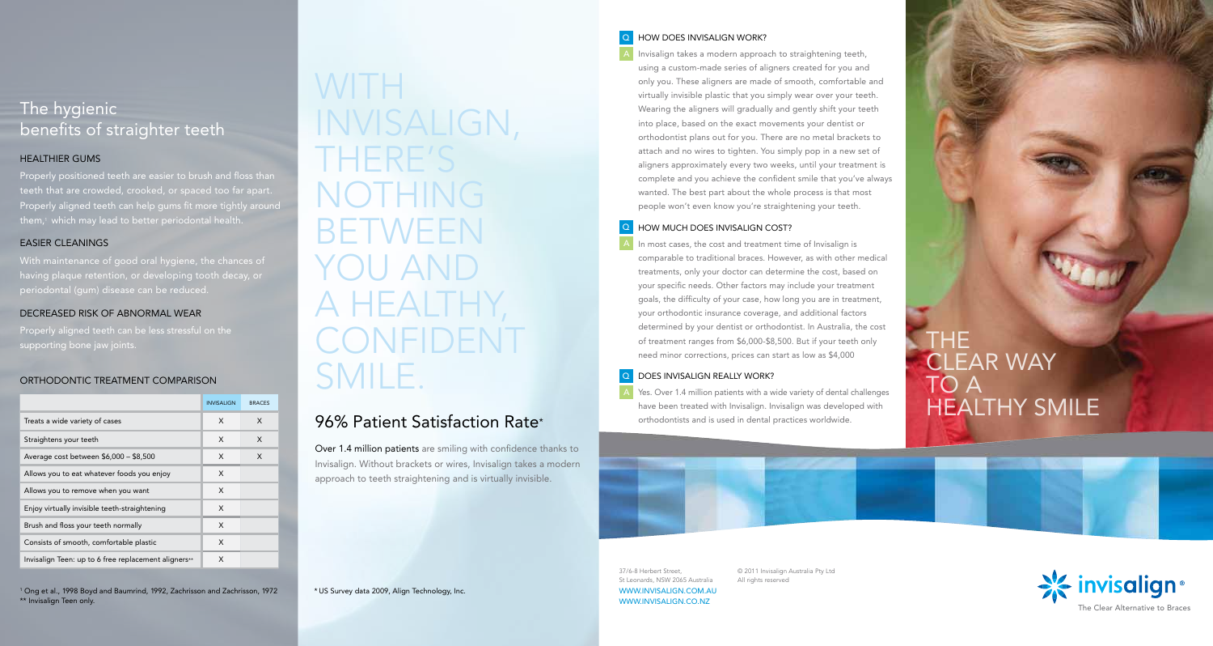# The hygienic benefits of straighter teeth

## HEALTHIER GUMS

Properly positioned teeth are easier to brush and floss than teeth that are crowded, crooked, or spaced too far apart. Properly aligned teeth can help gums fit more tightly around them, 1 which may lead to better periodontal health.

## EASIER CLEANINGS

With maintenance of good oral hygiene, the chances of

## DECREASED RISK OF ABNORMAL WEAR

Properly aligned teeth can be less stressful on the

## ORTHODONTIC TREATMENT COMPARISON

|                                                      | <b>INVISALIGN</b> | <b>BRACES</b> |
|------------------------------------------------------|-------------------|---------------|
| Treats a wide variety of cases                       | X                 | X             |
| Straightens your teeth                               | X                 | X             |
| Average cost between \$6,000 - \$8,500               | X                 | X             |
| Allows you to eat whatever foods you enjoy           | X                 |               |
| Allows you to remove when you want                   | X                 |               |
| Enjoy virtually invisible teeth-straightening        | X                 |               |
| Brush and floss your teeth normally                  | X                 |               |
| Consists of smooth, comfortable plastic              | X                 |               |
| Invisalign Teen: up to 6 free replacement aligners** | X                 |               |

1 Ong et al., 1998 Boyd and Baumrind, 1992, Zachrisson and Zachrisson, 1972 \*\* Invisalign Teen only.

# WITH INVISALIGN, THERE'S NOTHING BETWEEN YOU AND A HEALTHY, SMILE.

# 96% Patient Satisfaction Rate \*

\* US Survey data 2009, Align Technology, Inc.

Over 1.4 million patients are smiling with confidence thanks to Invisalign. Without brackets or wires, Invisalign takes a modern approach to teeth straightening and is virtually invisible.

## How does Invisalign work ?

Invisalign takes a modern approach to straightening teeth, using a custom-made series of aligners created for you and only you. These aligners are made of smooth, comfortable and virtually invisible plastic that you simply wear over your teeth. Wearing the aligners will gradually and gently shift your teeth into place, based on the exact movements your dentist or orthodontist plans out for you. There are no metal brackets to attach and no wires to tighten. You simply pop in a new set of aligners approximately every two weeks, until your treatment is complete and you achieve the confident smile that you've always wanted. The best part about the whole process is that most people won't even know you're straightening your teeth.<br> **Q** HOW MUCH DOES INVISALIGN COST?

# Q<br>
Q<br>
Q<br>
A

Properly aligned teeth can be less stressful on the **CONFIDENT** of treatmined by your dentist or orthodontist. In Australia, the cost supporting bone jaw joints. THE supporting bone jaw joints. In most cases, the cost and treatment time of Invisalign is comparable to traditional braces. However, as with other medical treatments, only your doctor can determine the cost, based on your specific needs. Other factors may include your treatment goals, the difficulty of your case, how long you are in treatment, your orthodontic insurance coverage, and additional factors determined by your dentist or orthodontist. In Australia, the cost of treatment ranges from \$6,000-\$8,500. But if your teeth only need minor corrections, prices can start as low as \$4,000

## DOES INVISALIGN REALLY WORK?

A Yes. Over 1.4 million patients with a wide variety of dental challenges have been treated with Invisalign. Invisalign was developed with orthodontists and is used in dental practices worldwide.

© 2011 Invisalign Australia Pty Ltd

All rights reserved

THE<br>CLEAR WAY TO A HEALTHY SMILE

37/6-8 Herbert Street, St Leonards, NSW 2065 Australia

WWW.INVISALIGN.COM.AU WWW.INVISALIGN.CO.NZ